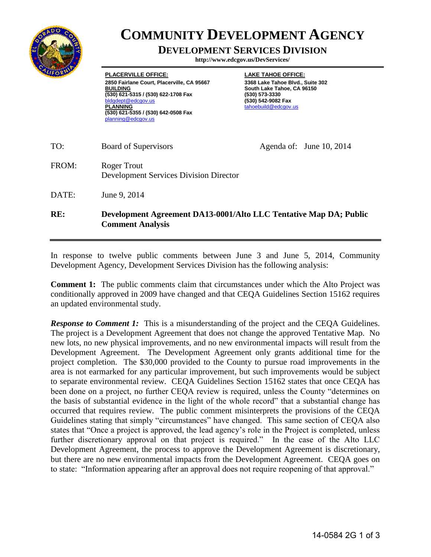

## **COMMUNITY DEVELOPMENT AGENCY**

## **DEVELOPMENT SERVICES DIVISION**

**http://www.edcgov.us/DevServices/**

**PLACERVILLE OFFICE: 2850 Fairlane Court, Placerville, CA 95667 BUILDING (530) 621-5315 / (530) 622-1708 Fax**  dept@edcgov.us **PLANNING (530) 621-5355 / (530) 642-0508 Fax** planning@edcgov.us

**LAKE TAHOE OFFICE: 3368 Lake Tahoe Blvd., Suite 302 South Lake Tahoe, CA 96150 (530) 573-3330 (530) 542-9082 Fax** tahoebuild@edcgov.us

TO: Board of Supervisors Agenda of: June 10, 2014 FROM: Roger Trout Development Services Division Director DATE: June 9, 2014 **RE: Development Agreement DA13-0001/Alto LLC Tentative Map DA; Public Comment Analysis** 

In response to twelve public comments between June 3 and June 5, 2014, Community Development Agency, Development Services Division has the following analysis:

**Comment 1:** The public comments claim that circumstances under which the Alto Project was conditionally approved in 2009 have changed and that CEQA Guidelines Section 15162 requires an updated environmental study.

**Response to Comment 1:** This is a misunderstanding of the project and the CEQA Guidelines. The project is a Development Agreement that does not change the approved Tentative Map. No new lots, no new physical improvements, and no new environmental impacts will result from the Development Agreement. The Development Agreement only grants additional time for the project completion. The \$30,000 provided to the County to pursue road improvements in the area is not earmarked for any particular improvement, but such improvements would be subject to separate environmental review. CEQA Guidelines Section 15162 states that once CEQA has been done on a project, no further CEQA review is required, unless the County "determines on the basis of substantial evidence in the light of the whole record" that a substantial change has occurred that requires review. The public comment misinterprets the provisions of the CEQA Guidelines stating that simply "circumstances" have changed. This same section of CEQA also states that "Once a project is approved, the lead agency's role in the Project is completed, unless further discretionary approval on that project is required." In the case of the Alto LLC Development Agreement, the process to approve the Development Agreement is discretionary, but there are no new environmental impacts from the Development Agreement. CEQA goes on to state: "Information appearing after an approval does not require reopening of that approval."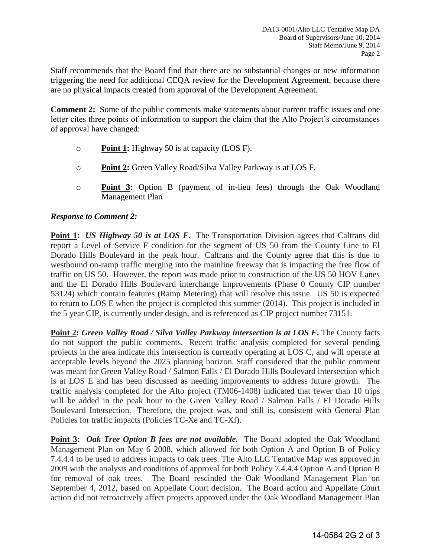Staff recommends that the Board find that there are no substantial changes or new information triggering the need for additional CEQA review for the Development Agreement, because there are no physical impacts created from approval of the Development Agreement.

**Comment 2:** Some of the public comments make statements about current traffic issues and one letter cites three points of information to support the claim that the Alto Project's circumstances of approval have changed:

- o **Point 1:** Highway 50 is at capacity (LOS F).
- o **Point 2:** Green Valley Road/Silva Valley Parkway is at LOS F.
- o **Point 3:** Option B (payment of in-lieu fees) through the Oak Woodland Management Plan

## *Response to Comment 2:*

**Point 1:** *US Highway 50 is at LOS F.* The Transportation Division agrees that Caltrans did report a Level of Service F condition for the segment of US 50 from the County Line to El Dorado Hills Boulevard in the peak hour. Caltrans and the County agree that this is due to westbound on-ramp traffic merging into the mainline freeway that is impacting the free flow of traffic on US 50. However, the report was made prior to construction of the US 50 HOV Lanes and the El Dorado Hills Boulevard interchange improvements (Phase 0 County CIP number 53124) which contain features (Ramp Metering) that will resolve this issue. US 50 is expected to return to LOS E when the project is completed this summer (2014). This project is included in the 5 year CIP, is currently under design, and is referenced as CIP project number 73151.

**Point 2:** *Green Valley Road / Silva Valley Parkway intersection is at LOS F***.** The County facts do not support the public comments. Recent traffic analysis completed for several pending projects in the area indicate this intersection is currently operating at LOS C, and will operate at acceptable levels beyond the 2025 planning horizon. Staff considered that the public comment was meant for Green Valley Road / Salmon Falls / El Dorado Hills Boulevard intersection which is at LOS E and has been discussed as needing improvements to address future growth. The traffic analysis completed for the Alto project (TM06-1408) indicated that fewer than 10 trips will be added in the peak hour to the Green Valley Road / Salmon Falls / El Dorado Hills Boulevard Intersection. Therefore, the project was, and still is, consistent with General Plan Policies for traffic impacts (Policies TC-Xe and TC-Xf).

**Point 3:** *Oak Tree Option B fees are not available.* The Board adopted the Oak Woodland Management Plan on May 6 2008, which allowed for both Option A and Option B of Policy 7.4.4.4 to be used to address impacts to oak trees. The Alto LLC Tentative Map was approved in 2009 with the analysis and conditions of approval for both Policy 7.4.4.4 Option A and Option B for removal of oak trees. The Board rescinded the Oak Woodland Management Plan on September 4, 2012, based on Appellate Court decision. The Board action and Appellate Court action did not retroactively affect projects approved under the Oak Woodland Management Plan